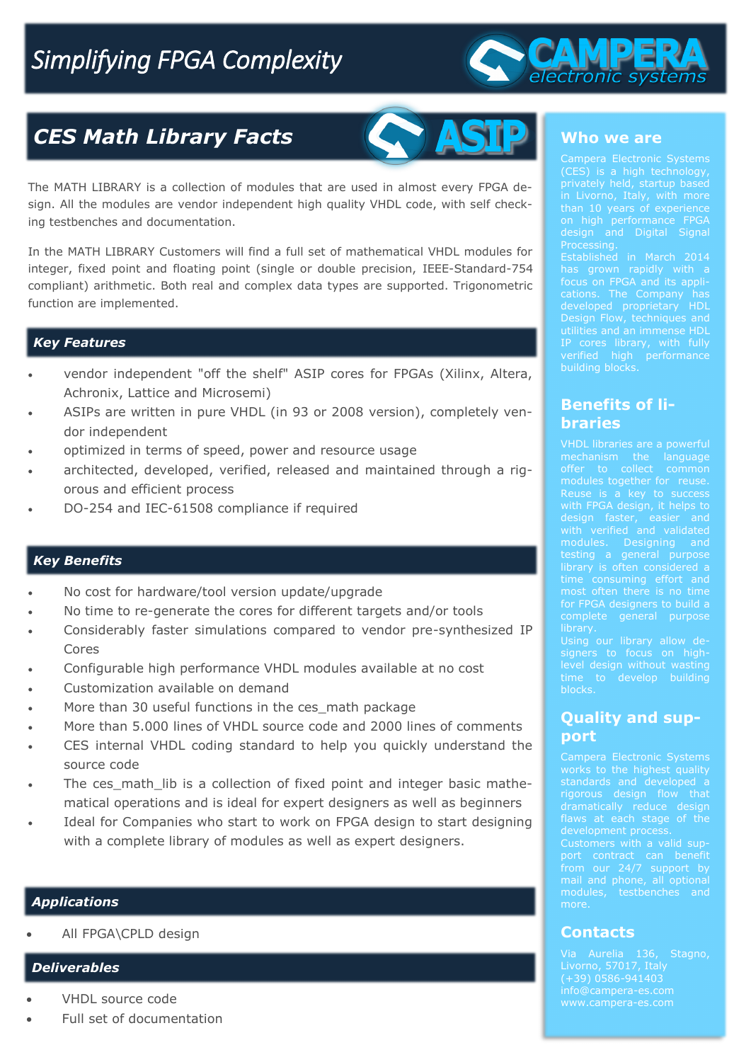# *Simplifying FPGA Complexity*



## *CES Math Library Facts*



The MATH LIBRARY is a collection of modules that are used in almost every FPGA design. All the modules are vendor independent high quality VHDL code, with self checking testbenches and documentation.

In the MATH LIBRARY Customers will find a full set of mathematical VHDL modules for integer, fixed point and floating point (single or double precision, IEEE-Standard-754 compliant) arithmetic. Both real and complex data types are supported. Trigonometric function are implemented.

#### *Key Features*

- vendor independent "off the shelf" ASIP cores for FPGAs (Xilinx, Altera, Achronix, Lattice and Microsemi)
- ASIPs are written in pure VHDL (in 93 or 2008 version), completely vendor independent
- optimized in terms of speed, power and resource usage
- architected, developed, verified, released and maintained through a rigorous and efficient process
- DO-254 and IEC-61508 compliance if required

#### *Key Benefits*

- No cost for hardware/tool version update/upgrade
- No time to re-generate the cores for different targets and/or tools
- Considerably faster simulations compared to vendor pre-synthesized IP Cores
- Configurable high performance VHDL modules available at no cost
- Customization available on demand
- More than 30 useful functions in the ces math package
- More than 5.000 lines of VHDL source code and 2000 lines of comments
- CES internal VHDL coding standard to help you quickly understand the source code
- The ces math lib is a collection of fixed point and integer basic mathematical operations and is ideal for expert designers as well as beginners
- Ideal for Companies who start to work on FPGA design to start designing with a complete library of modules as well as expert designers.

#### *Applications*

All FPGA\CPLD design

#### *Deliverables*

- VHDL source code
- Full set of documentation

#### **Who we are**

on high performance FPGA

focus on FPGA and its appliutilities and an immense HDL building blocks.

### **Benefits of libraries**

modules. Designing and for FPGA designers to build a complete general purpose **library** 

time to develop building blocks.

#### **Quality and support**

standards and developed a dramatically reduce design flaws at each stage of the from our 24/7 support by

**Contacts**

more.

info@campera-es.com www.campera-es.com